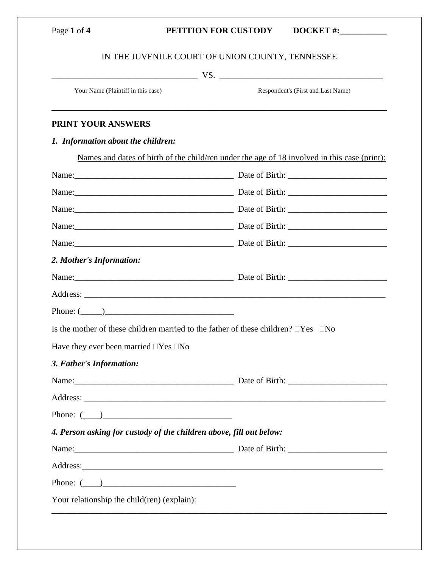# Page 1 of 4 **PETITION FOR CUSTODY DOCKET #:**

# IN THE JUVENILE COURT OF UNION COUNTY, TENNESSEE

**\_\_\_\_\_\_\_\_\_\_\_\_\_\_\_\_\_\_\_\_\_\_\_\_\_\_\_\_\_\_\_\_\_\_\_\_\_\_\_\_\_\_\_\_\_\_\_\_\_\_\_\_\_\_\_\_\_\_\_\_\_\_\_\_\_\_\_\_\_\_\_\_\_\_\_\_\_\_**

\_\_\_\_\_\_\_\_\_\_\_\_\_\_\_\_\_\_\_\_\_\_\_\_\_\_\_\_\_\_\_\_\_\_ VS. \_\_\_\_\_\_\_\_\_\_\_\_\_\_\_\_\_\_\_\_\_\_\_\_\_\_\_\_\_\_\_\_\_\_\_\_\_\_

Your Name (Plaintiff in this case) Respondent's (First and Last Name)

### **PRINT YOUR ANSWERS**

*1. Information about the children:*

|                                                                                                                                                                                                                               | Names and dates of birth of the child/ren under the age of 18 involved in this case (print): |  |
|-------------------------------------------------------------------------------------------------------------------------------------------------------------------------------------------------------------------------------|----------------------------------------------------------------------------------------------|--|
|                                                                                                                                                                                                                               |                                                                                              |  |
| Name: <u>Name:</u> Date of Birth:                                                                                                                                                                                             |                                                                                              |  |
| Name: Date of Birth: 2008. [2016] Date of Birth:                                                                                                                                                                              |                                                                                              |  |
| Name: Date of Birth: 2008. [2016] Date of Birth:                                                                                                                                                                              |                                                                                              |  |
|                                                                                                                                                                                                                               |                                                                                              |  |
| 2. Mother's Information:                                                                                                                                                                                                      |                                                                                              |  |
|                                                                                                                                                                                                                               |                                                                                              |  |
|                                                                                                                                                                                                                               |                                                                                              |  |
| Phone: $(\_\_)$                                                                                                                                                                                                               |                                                                                              |  |
| Is the mother of these children married to the father of these children? $\square$ Yes $\square$ No                                                                                                                           |                                                                                              |  |
| Have they ever been married $\Box$ Yes $\Box$ No                                                                                                                                                                              |                                                                                              |  |
| 3. Father's Information:                                                                                                                                                                                                      |                                                                                              |  |
|                                                                                                                                                                                                                               |                                                                                              |  |
|                                                                                                                                                                                                                               |                                                                                              |  |
| Phone: $(\_\_)$                                                                                                                                                                                                               |                                                                                              |  |
| 4. Person asking for custody of the children above, fill out below:                                                                                                                                                           |                                                                                              |  |
| Name: Name: Name: Name: Name: Name: Name: Name: Name: Name: Name: Name: Name: Name: Name: Name: Name: Name: Name: Name: Name: Name: Name: Name: Name: Name: Name: Name: Name: Name: Name: Name: Name: Name: Name: Name: Name: |                                                                                              |  |
|                                                                                                                                                                                                                               |                                                                                              |  |
| Phone: $(\_\_)$                                                                                                                                                                                                               |                                                                                              |  |
| Your relationship the child(ren) (explain):                                                                                                                                                                                   |                                                                                              |  |
|                                                                                                                                                                                                                               |                                                                                              |  |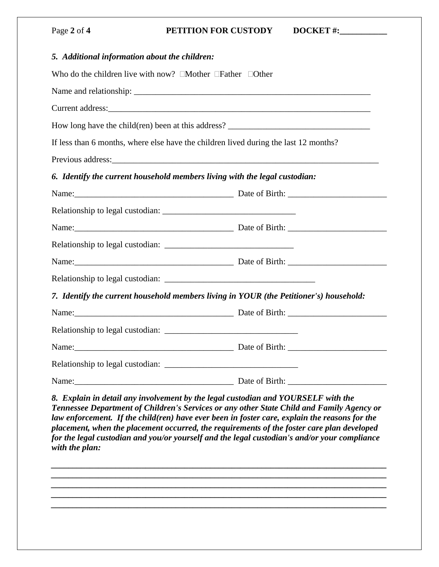| Page 2 of 4 | <b>PETITION FOR CUSTODY</b><br>$DOCKET$ #:                                                                                                                                                                                    |
|-------------|-------------------------------------------------------------------------------------------------------------------------------------------------------------------------------------------------------------------------------|
|             | 5. Additional information about the children:                                                                                                                                                                                 |
|             | Who do the children live with now? $\Box$ Mother $\Box$ Father $\Box$ Other                                                                                                                                                   |
|             |                                                                                                                                                                                                                               |
|             |                                                                                                                                                                                                                               |
|             |                                                                                                                                                                                                                               |
|             | If less than 6 months, where else have the children lived during the last 12 months?                                                                                                                                          |
|             | Previous address: Note of the contract of the contract of the contract of the contract of the contract of the contract of the contract of the contract of the contract of the contract of the contract of the contract of the |
|             | 6. Identify the current household members living with the legal custodian:                                                                                                                                                    |
|             |                                                                                                                                                                                                                               |
|             |                                                                                                                                                                                                                               |
|             |                                                                                                                                                                                                                               |
|             |                                                                                                                                                                                                                               |
|             |                                                                                                                                                                                                                               |
|             |                                                                                                                                                                                                                               |
|             | 7. Identify the current household members living in YOUR (the Petitioner's) household:                                                                                                                                        |
|             |                                                                                                                                                                                                                               |
|             |                                                                                                                                                                                                                               |
| Name:       |                                                                                                                                                                                                                               |
|             |                                                                                                                                                                                                                               |
|             | Date of Birth:<br>Name: 2008. [2016] Name: 2008. [2016] Name: 2008. [2016] Name: 2008. [2016] Name: 2008. [2016] Name: 2008. [20                                                                                              |

*Tennessee Department of Children's Services or any other State Child and Family Agency or law enforcement. If the child(ren) have ever been in foster care, explain the reasons for the placement, when the placement occurred, the requirements of the foster care plan developed for the legal custodian and you/or yourself and the legal custodian's and/or your compliance with the plan:*

*\_\_\_\_\_\_\_\_\_\_\_\_\_\_\_\_\_\_\_\_\_\_\_\_\_\_\_\_\_\_\_\_\_\_\_\_\_\_\_\_\_\_\_\_\_\_\_\_\_\_\_\_\_\_\_\_\_\_\_\_\_\_\_\_\_\_\_\_\_\_\_\_\_\_\_\_\_\_ \_\_\_\_\_\_\_\_\_\_\_\_\_\_\_\_\_\_\_\_\_\_\_\_\_\_\_\_\_\_\_\_\_\_\_\_\_\_\_\_\_\_\_\_\_\_\_\_\_\_\_\_\_\_\_\_\_\_\_\_\_\_\_\_\_\_\_\_\_\_\_\_\_\_\_\_\_\_ \_\_\_\_\_\_\_\_\_\_\_\_\_\_\_\_\_\_\_\_\_\_\_\_\_\_\_\_\_\_\_\_\_\_\_\_\_\_\_\_\_\_\_\_\_\_\_\_\_\_\_\_\_\_\_\_\_\_\_\_\_\_\_\_\_\_\_\_\_\_\_\_\_\_\_\_\_\_ \_\_\_\_\_\_\_\_\_\_\_\_\_\_\_\_\_\_\_\_\_\_\_\_\_\_\_\_\_\_\_\_\_\_\_\_\_\_\_\_\_\_\_\_\_\_\_\_\_\_\_\_\_\_\_\_\_\_\_\_\_\_\_\_\_\_\_\_\_\_\_\_\_\_\_\_\_\_ \_\_\_\_\_\_\_\_\_\_\_\_\_\_\_\_\_\_\_\_\_\_\_\_\_\_\_\_\_\_\_\_\_\_\_\_\_\_\_\_\_\_\_\_\_\_\_\_\_\_\_\_\_\_\_\_\_\_\_\_\_\_\_\_\_\_\_\_\_\_\_\_\_\_\_\_\_\_*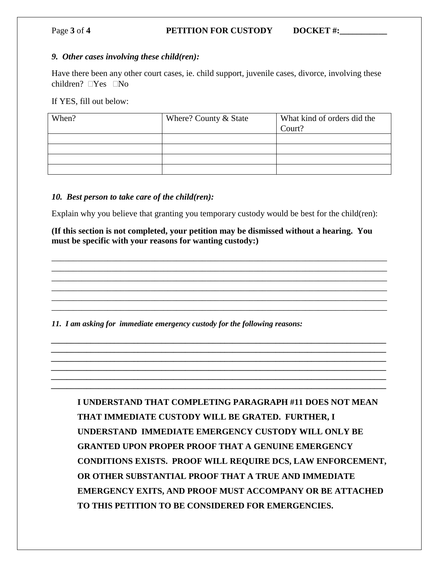#### Page **3** of **4 PETITION FOR CUSTODY DOCKET** #:

#### *9. Other cases involving these child(ren):*

Have there been any other court cases, ie. child support, juvenile cases, divorce, involving these children?  $\Box$ Yes  $\Box$ No

If YES, fill out below:

| When? | Where? County $&$ State | What kind of orders did the<br>Court? |
|-------|-------------------------|---------------------------------------|
|       |                         |                                       |
|       |                         |                                       |
|       |                         |                                       |
|       |                         |                                       |
|       |                         |                                       |

#### *10. Best person to take care of the child(ren):*

Explain why you believe that granting you temporary custody would be best for the child(ren):

**(If this section is not completed, your petition may be dismissed without a hearing. You must be specific with your reasons for wanting custody:)**

\_\_\_\_\_\_\_\_\_\_\_\_\_\_\_\_\_\_\_\_\_\_\_\_\_\_\_\_\_\_\_\_\_\_\_\_\_\_\_\_\_\_\_\_\_\_\_\_\_\_\_\_\_\_\_\_\_\_\_\_\_\_\_\_\_\_\_\_\_\_\_\_\_\_\_\_\_\_ \_\_\_\_\_\_\_\_\_\_\_\_\_\_\_\_\_\_\_\_\_\_\_\_\_\_\_\_\_\_\_\_\_\_\_\_\_\_\_\_\_\_\_\_\_\_\_\_\_\_\_\_\_\_\_\_\_\_\_\_\_\_\_\_\_\_\_\_\_\_\_\_\_\_\_\_\_\_ \_\_\_\_\_\_\_\_\_\_\_\_\_\_\_\_\_\_\_\_\_\_\_\_\_\_\_\_\_\_\_\_\_\_\_\_\_\_\_\_\_\_\_\_\_\_\_\_\_\_\_\_\_\_\_\_\_\_\_\_\_\_\_\_\_\_\_\_\_\_\_\_\_\_\_\_\_\_ \_\_\_\_\_\_\_\_\_\_\_\_\_\_\_\_\_\_\_\_\_\_\_\_\_\_\_\_\_\_\_\_\_\_\_\_\_\_\_\_\_\_\_\_\_\_\_\_\_\_\_\_\_\_\_\_\_\_\_\_\_\_\_\_\_\_\_\_\_\_\_\_\_\_\_\_\_\_ \_\_\_\_\_\_\_\_\_\_\_\_\_\_\_\_\_\_\_\_\_\_\_\_\_\_\_\_\_\_\_\_\_\_\_\_\_\_\_\_\_\_\_\_\_\_\_\_\_\_\_\_\_\_\_\_\_\_\_\_\_\_\_\_\_\_\_\_\_\_\_\_\_\_\_\_\_\_ \_\_\_\_\_\_\_\_\_\_\_\_\_\_\_\_\_\_\_\_\_\_\_\_\_\_\_\_\_\_\_\_\_\_\_\_\_\_\_\_\_\_\_\_\_\_\_\_\_\_\_\_\_\_\_\_\_\_\_\_\_\_\_\_\_\_\_\_\_\_\_\_\_\_\_\_\_\_

*\_\_\_\_\_\_\_\_\_\_\_\_\_\_\_\_\_\_\_\_\_\_\_\_\_\_\_\_\_\_\_\_\_\_\_\_\_\_\_\_\_\_\_\_\_\_\_\_\_\_\_\_\_\_\_\_\_\_\_\_\_\_\_\_\_\_\_\_\_\_\_\_\_\_\_\_\_\_\_\_\_\_\_\_\_ \_\_\_\_\_\_\_\_\_\_\_\_\_\_\_\_\_\_\_\_\_\_\_\_\_\_\_\_\_\_\_\_\_\_\_\_\_\_\_\_\_\_\_\_\_\_\_\_\_\_\_\_\_\_\_\_\_\_\_\_\_\_\_\_\_\_\_\_\_\_\_\_\_\_\_\_\_\_\_\_\_\_\_\_\_ \_\_\_\_\_\_\_\_\_\_\_\_\_\_\_\_\_\_\_\_\_\_\_\_\_\_\_\_\_\_\_\_\_\_\_\_\_\_\_\_\_\_\_\_\_\_\_\_\_\_\_\_\_\_\_\_\_\_\_\_\_\_\_\_\_\_\_\_\_\_\_\_\_\_\_\_\_\_\_\_\_\_\_\_\_ \_\_\_\_\_\_\_\_\_\_\_\_\_\_\_\_\_\_\_\_\_\_\_\_\_\_\_\_\_\_\_\_\_\_\_\_\_\_\_\_\_\_\_\_\_\_\_\_\_\_\_\_\_\_\_\_\_\_\_\_\_\_\_\_\_\_\_\_\_\_\_\_\_\_\_\_\_\_\_\_\_\_\_\_\_ \_\_\_\_\_\_\_\_\_\_\_\_\_\_\_\_\_\_\_\_\_\_\_\_\_\_\_\_\_\_\_\_\_\_\_\_\_\_\_\_\_\_\_\_\_\_\_\_\_\_\_\_\_\_\_\_\_\_\_\_\_\_\_\_\_\_\_\_\_\_\_\_\_\_\_\_\_\_\_\_\_\_\_\_\_ \_\_\_\_\_\_\_\_\_\_\_\_\_\_\_\_\_\_\_\_\_\_\_\_\_\_\_\_\_\_\_\_\_\_\_\_\_\_\_\_\_\_\_\_\_\_\_\_\_\_\_\_\_\_\_\_\_\_\_\_\_\_\_\_\_\_\_\_\_\_\_\_\_\_\_\_\_\_\_\_\_\_\_\_\_*

*11. I am asking for immediate emergency custody for the following reasons:*

**I UNDERSTAND THAT COMPLETING PARAGRAPH #11 DOES NOT MEAN THAT IMMEDIATE CUSTODY WILL BE GRATED. FURTHER, I UNDERSTAND IMMEDIATE EMERGENCY CUSTODY WILL ONLY BE GRANTED UPON PROPER PROOF THAT A GENUINE EMERGENCY CONDITIONS EXISTS. PROOF WILL REQUIRE DCS, LAW ENFORCEMENT, OR OTHER SUBSTANTIAL PROOF THAT A TRUE AND IMMEDIATE EMERGENCY EXITS, AND PROOF MUST ACCOMPANY OR BE ATTACHED TO THIS PETITION TO BE CONSIDERED FOR EMERGENCIES.**